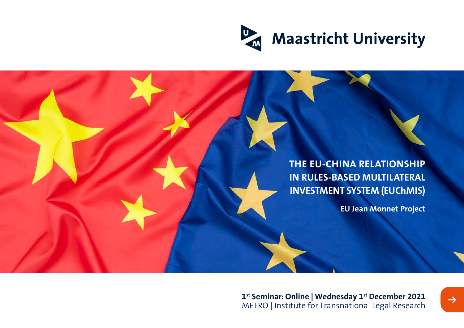

**THE EU-CHINA RELATIONSHIP IN RULES-BASED MULTILATERAL INVESTMENT SYSTEM (EUChMIS)**

**EU Jean Monnet Project**

**1st Seminar: Online | Wednesday 1st December 2021** METRO | Institute for Transnational Legal Research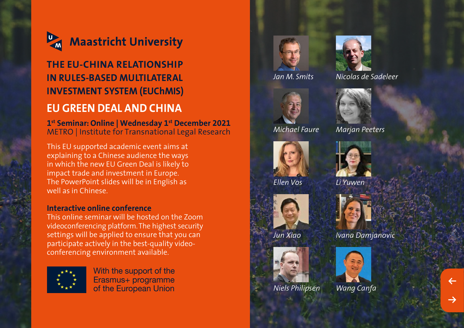

# **THE EU-CHINA RELATIONSHIP IN RULES-BASED MULTILATERAL INVESTMENT SYSTEM (EUChMIS) EU GREEN DEAL AND CHINA**

**1st Seminar: Online | Wednesday 1st December 2021** METRO | Institute for Transnational Legal Research

This EU supported academic event aims at explaining to a Chinese audience the ways in which the new EU Green Deal is likely to impact trade and investment in Europe. The PowerPoint slides will be in English as well as in Chinese.

#### **Interactive online conference**

This online seminar will be hosted on the Zoom videoconferencing platform. The highest security settings will be applied to ensure that you can participate actively in the best-quality videoconferencing environment available.



With the support of the Erasmus+ programme of the European Union



*Jan M. Smits*



*Nicolas de Sadeleer*



*Michael Faure Marjan Peeters*



*Ellen Vos*





*Niels Philipsen Wang Canfa*















*Jun Xiao Ivana Damjanovic*

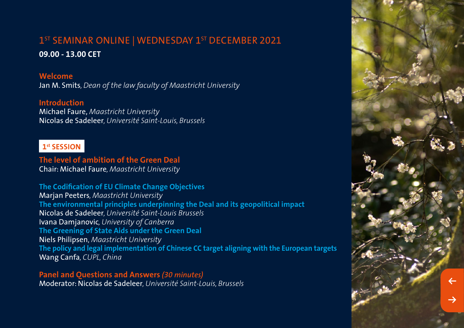## 1<sup>ST</sup> SEMINAR ONLINE | WEDNESDAY 1<sup>ST</sup> DECEMBER 2021 **09.00 - 13.00 CET**

#### **Welcome**

Jan M. Smits*, Dean of the law faculty of Maastricht University*

#### **Introduction**

Michael Faure, *Maastricht University* Nicolas de Sadeleer*, Université Saint-Louis, Brussels*

## **1st SESSION**

**The level of ambition of the Green Deal** Chair: Michael Faure*, Maastricht University*

**The Codification of EU Climate Change Objectives** Marjan Peeters*, Maastricht University* **The environmental principles underpinning the Deal and its geopolitical impact** Nicolas de Sadeleer*, Université Saint-Louis Brussels* Ivana Damjanovic*, University of Canberra* **The Greening of State Aids under the Green Deal** Niels Philipsen, *Maastricht University* **The policy and legal implementation of Chinese CC target aligning with the European targets** Wang Canfa*, CUPL, China*

**Panel and Questions and Answers** *(30 minutes)*  Moderator: Nicolas de Sadeleer*, Université Saint-Louis, Brussels*

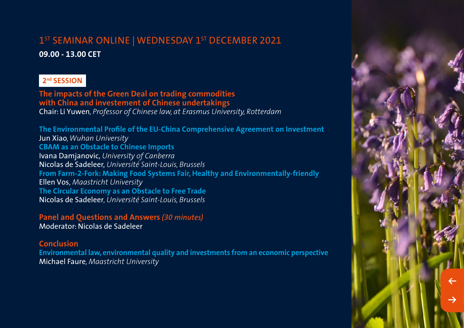# 1<sup>ST</sup> SEMINAR ONLINE | WEDNESDAY 1<sup>ST</sup> DECEMBER 2021

**09.00 - 13.00 CET** 

## **2nd SESSION**

**The impacts of the Green Deal on trading commodities with China and investement of Chinese undertakings** Chair: Li Yuwen*, Professor of Chinese law, at Erasmus University, Rotterdam*

**The Environmental Profile of the EU-China Comprehensive Agreement on Investment**  Jun Xiao*, Wuhan University* **CBAM as an Obstacle to Chinese Imports** Ivana Damjanovic, *University of Canberra* Nicolas de Sadeleer, *Université Saint-Louis, Brussels* **From Farm-2-Fork: Making Food Systems Fair, Healthy and Environmentally-friendly** Ellen Vos, *Maastricht University* **The Circular Economy as an Obstacle to Free Trade** Nicolas de Sadeleer*, Université Saint-Louis, Brussels*

**Panel and Questions and Answers** *(30 minutes)*  Moderator: Nicolas de Sadeleer

**Conclusion**

**Environmental law, environmental quality and investments from an economic perspective** Michael Faure*, Maastricht University*